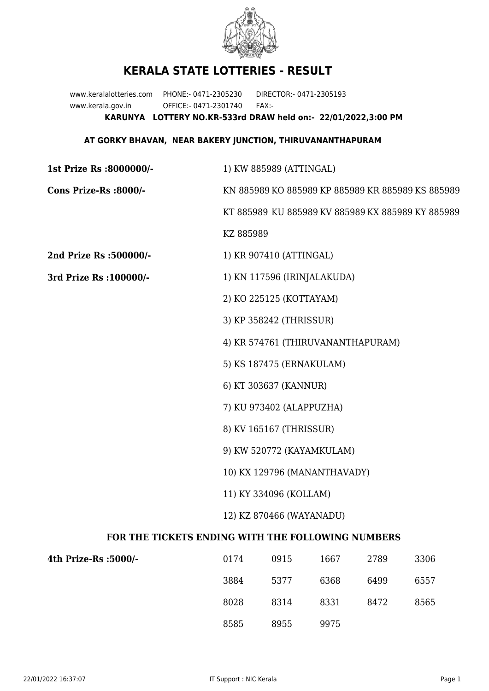

## **KERALA STATE LOTTERIES - RESULT**

www.keralalotteries.com PHONE:- 0471-2305230 DIRECTOR:- 0471-2305193 www.kerala.gov.in OFFICE:- 0471-2301740 FAX:- **KARUNYA LOTTERY NO.KR-533rd DRAW held on:- 22/01/2022,3:00 PM**

## **AT GORKY BHAVAN, NEAR BAKERY JUNCTION, THIRUVANANTHAPURAM**

| 1st Prize Rs :8000000/-                           | 1) KW 885989 (ATTINGAL)                                   |                         |      |      |                                                   |  |  |
|---------------------------------------------------|-----------------------------------------------------------|-------------------------|------|------|---------------------------------------------------|--|--|
| Cons Prize-Rs :8000/-                             | KN 885989 KO 885989 KP 885989 KR 885989 KS 885989         |                         |      |      |                                                   |  |  |
|                                                   |                                                           |                         |      |      | KT 885989 KU 885989 KV 885989 KX 885989 KY 885989 |  |  |
|                                                   | KZ 885989                                                 |                         |      |      |                                                   |  |  |
| 2nd Prize Rs :500000/-                            |                                                           | 1) KR 907410 (ATTINGAL) |      |      |                                                   |  |  |
| 3rd Prize Rs : 100000/-                           | 1) KN 117596 (IRINJALAKUDA)                               |                         |      |      |                                                   |  |  |
|                                                   |                                                           | 2) KO 225125 (KOTTAYAM) |      |      |                                                   |  |  |
|                                                   | 3) KP 358242 (THRISSUR)                                   |                         |      |      |                                                   |  |  |
|                                                   | 4) KR 574761 (THIRUVANANTHAPURAM)                         |                         |      |      |                                                   |  |  |
|                                                   | 5) KS 187475 (ERNAKULAM)                                  |                         |      |      |                                                   |  |  |
|                                                   |                                                           | 6) KT 303637 (KANNUR)   |      |      |                                                   |  |  |
|                                                   | 7) KU 973402 (ALAPPUZHA)                                  |                         |      |      |                                                   |  |  |
|                                                   | 8) KV 165167 (THRISSUR)                                   |                         |      |      |                                                   |  |  |
|                                                   | 9) KW 520772 (KAYAMKULAM)<br>10) KX 129796 (MANANTHAVADY) |                         |      |      |                                                   |  |  |
|                                                   |                                                           |                         |      |      |                                                   |  |  |
|                                                   | 11) KY 334096 (KOLLAM)                                    |                         |      |      |                                                   |  |  |
|                                                   | 12) KZ 870466 (WAYANADU)                                  |                         |      |      |                                                   |  |  |
| FOR THE TICKETS ENDING WITH THE FOLLOWING NUMBERS |                                                           |                         |      |      |                                                   |  |  |
| 4th Prize-Rs : 5000/-                             | 0174                                                      | 0915                    | 1667 | 2789 | 3306                                              |  |  |
|                                                   | 3884                                                      | 5377                    | 6368 | 6499 | 6557                                              |  |  |

| 8028 | 8314 | 8331 | 8472 | 8565 |
|------|------|------|------|------|
| 8585 | 8955 | 9975 |      |      |
|      |      |      |      |      |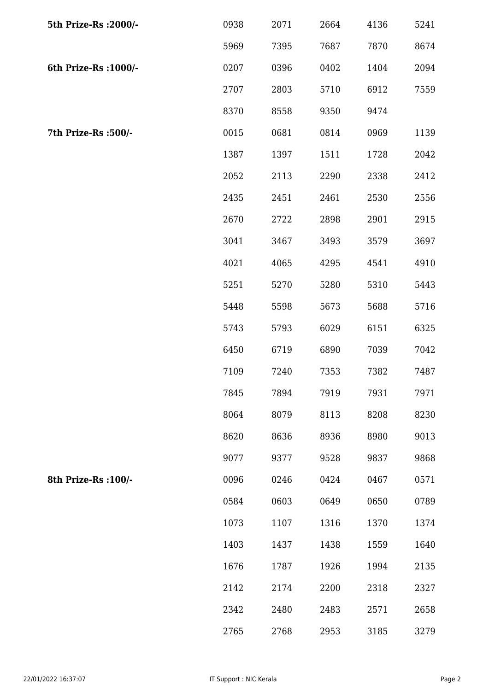| 5th Prize-Rs : 2000/- | 0938 | 2071 | 2664 | 4136 | 5241 |
|-----------------------|------|------|------|------|------|
|                       | 5969 | 7395 | 7687 | 7870 | 8674 |
| 6th Prize-Rs : 1000/- | 0207 | 0396 | 0402 | 1404 | 2094 |
|                       | 2707 | 2803 | 5710 | 6912 | 7559 |
|                       | 8370 | 8558 | 9350 | 9474 |      |
| 7th Prize-Rs :500/-   | 0015 | 0681 | 0814 | 0969 | 1139 |
|                       | 1387 | 1397 | 1511 | 1728 | 2042 |
|                       | 2052 | 2113 | 2290 | 2338 | 2412 |
|                       | 2435 | 2451 | 2461 | 2530 | 2556 |
|                       | 2670 | 2722 | 2898 | 2901 | 2915 |
|                       | 3041 | 3467 | 3493 | 3579 | 3697 |
|                       | 4021 | 4065 | 4295 | 4541 | 4910 |
|                       | 5251 | 5270 | 5280 | 5310 | 5443 |
|                       | 5448 | 5598 | 5673 | 5688 | 5716 |
|                       | 5743 | 5793 | 6029 | 6151 | 6325 |
|                       | 6450 | 6719 | 6890 | 7039 | 7042 |
|                       | 7109 | 7240 | 7353 | 7382 | 7487 |
|                       | 7845 | 7894 | 7919 | 7931 | 7971 |
|                       | 8064 | 8079 | 8113 | 8208 | 8230 |
|                       | 8620 | 8636 | 8936 | 8980 | 9013 |
|                       | 9077 | 9377 | 9528 | 9837 | 9868 |
| 8th Prize-Rs : 100/-  | 0096 | 0246 | 0424 | 0467 | 0571 |
|                       | 0584 | 0603 | 0649 | 0650 | 0789 |
|                       | 1073 | 1107 | 1316 | 1370 | 1374 |
|                       | 1403 | 1437 | 1438 | 1559 | 1640 |
|                       | 1676 | 1787 | 1926 | 1994 | 2135 |
|                       | 2142 | 2174 | 2200 | 2318 | 2327 |
|                       | 2342 | 2480 | 2483 | 2571 | 2658 |
|                       | 2765 | 2768 | 2953 | 3185 | 3279 |